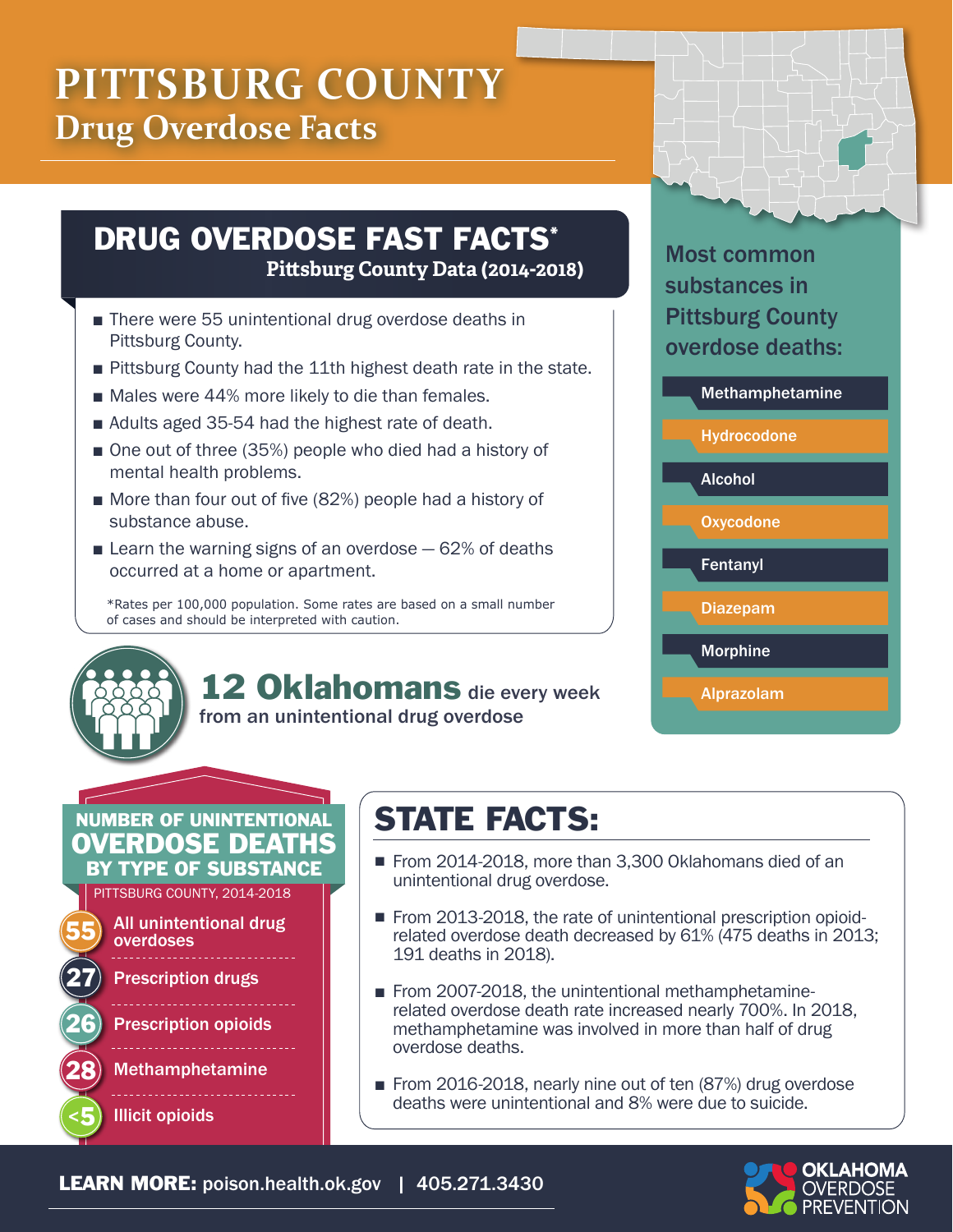# **PITTSBURG COUNTY Drug Overdose Facts**

### DRUG OVERDOSE FAST FACTS\* **Pittsburg County Data (2014-2018)**

- There were 55 unintentional drug overdose deaths in Pittsburg County.
- Pittsburg County had the 11th highest death rate in the state.
- Males were 44% more likely to die than females.
- Adults aged 35-54 had the highest rate of death.
- One out of three (35%) people who died had a history of mental health problems.
- More than four out of five (82%) people had a history of substance abuse.
- **E** Learn the warning signs of an overdose  $-62%$  of deaths occurred at a home or apartment.

\*Rates per 100,000 population. Some rates are based on a small number of cases and should be interpreted with caution.

> 12 Oklahomans die every week from an unintentional drug overdose

#### Most common substances in Pittsburg County overdose deaths:



# NUMBER OF UNINTENTIONAL OVERDOSE DEATHS

BY TYPE OF SUBSTANCE

PITTSBURG COUNTY, 2014-2018



**Prescription drugs** 

**Prescription opioids** 

**Methamphetamine** 

**Illicit opioids** 

# STATE FACTS:

- From 2014-2018, more than 3,300 Oklahomans died of an unintentional drug overdose.
- From 2013-2018, the rate of unintentional prescription opioidrelated overdose death decreased by 61% (475 deaths in 2013; 191 deaths in 2018).
- From 2007-2018, the unintentional methamphetaminerelated overdose death rate increased nearly 700%. In 2018, methamphetamine was involved in more than half of drug overdose deaths.
- From 2016-2018, nearly nine out of ten (87%) drug overdose deaths were unintentional and 8% were due to suicide.